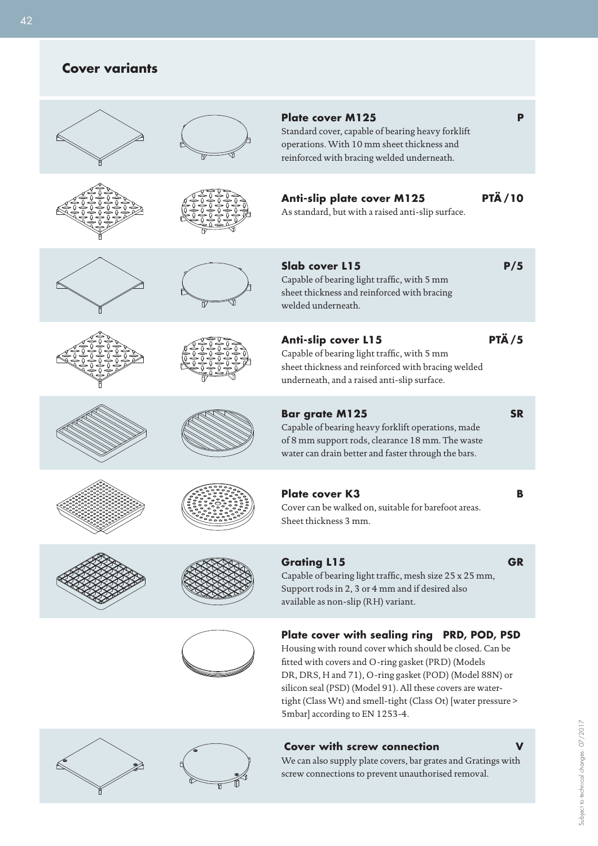# **Cover variants**

|               | <b>Plate cover M125</b><br>Standard cover, capable of bearing heavy forklift<br>operations. With 10 mm sheet thickness and<br>reinforced with bracing welded underneath.                                                                                                                                                                                                                |  |
|---------------|-----------------------------------------------------------------------------------------------------------------------------------------------------------------------------------------------------------------------------------------------------------------------------------------------------------------------------------------------------------------------------------------|--|
| <b>PTÄ/10</b> | Anti-slip plate cover M125<br>As standard, but with a raised anti-slip surface.                                                                                                                                                                                                                                                                                                         |  |
| P/5           | Slab cover L15<br>Capable of bearing light traffic, with 5 mm<br>sheet thickness and reinforced with bracing<br>welded underneath.                                                                                                                                                                                                                                                      |  |
| <b>PTÄ/5</b>  | <b>Anti-slip cover L15</b><br>Capable of bearing light traffic, with 5 mm<br>sheet thickness and reinforced with bracing welded<br>underneath, and a raised anti-slip surface.                                                                                                                                                                                                          |  |
| <b>SR</b>     | <b>Bar grate M125</b><br>Capable of bearing heavy forklift operations, made<br>of 8 mm support rods, clearance 18 mm. The waste<br>water can drain better and faster through the bars.                                                                                                                                                                                                  |  |
| в             | <b>Plate cover K3</b><br>Cover can be walked on, suitable for barefoot areas.<br>Sheet thickness 3 mm.                                                                                                                                                                                                                                                                                  |  |
| <b>GR</b>     | <b>Grating L15</b><br>Capable of bearing light traffic, mesh size 25 x 25 mm,<br>Support rods in 2, 3 or 4 mm and if desired also<br>available as non-slip (RH) variant.                                                                                                                                                                                                                |  |
|               | Plate cover with sealing ring PRD, POD, PSD<br>Housing with round cover which should be closed. Can be<br>fitted with covers and O-ring gasket (PRD) (Models<br>DR, DRS, H and 71), O-ring gasket (POD) (Model 88N) or<br>silicon seal (PSD) (Model 91). All these covers are water-<br>tight (Class Wt) and smell-tight (Class Ot) [water pressure ><br>5mbar] according to EN 1253-4. |  |
|               | <b>Cover with screw connection</b><br>We can also supply plate covers, bar grates and Gratings with<br>screw connections to prevent unauthorised removal.                                                                                                                                                                                                                               |  |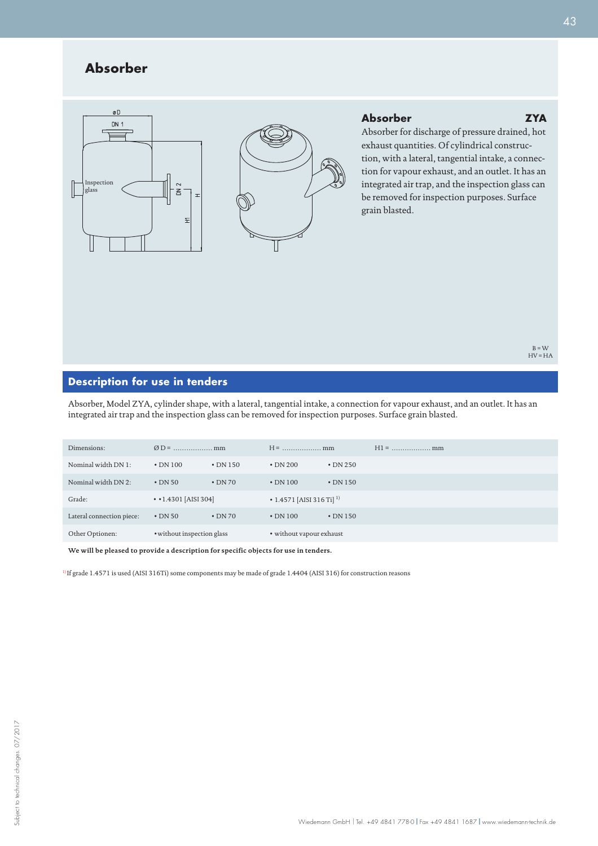## **Absorber**





### **Absorber ZYA**

Absorber for discharge of pressure drained, hot exhaust quantities. Of cylindrical construction, with a lateral, tangential intake, a connection for vapour exhaust, and an outlet. It has an integrated air trap, and the inspection glass can be removed for inspection purposes. Surface grain blasted.

## **Description for use in tenders**

Absorber, Model ZYA, cylinder shape, with a lateral, tangential intake, a connection for vapour exhaust, and an outlet. It has an integrated air trap and the inspection glass can be removed for inspection purposes. Surface grain blasted.

| Dimensions:               |                                   |                |                                      |                |  |
|---------------------------|-----------------------------------|----------------|--------------------------------------|----------------|--|
| Nominal width DN 1:       | $\cdot$ DN 100                    | $\cdot$ DN 150 | $\cdot$ DN 200                       | $\cdot$ DN 250 |  |
| Nominal width DN 2:       | $\cdot$ DN 50                     | $\cdot$ DN 70  | $\cdot$ DN 100                       | $\cdot$ DN 150 |  |
| Grade:                    | $\cdot$ $\cdot$ 1.4301 [AISI 304] |                | • 1.4571 [AISI 316 Ti] <sup>1)</sup> |                |  |
| Lateral connection piece: | $\cdot$ DN 50                     | $\cdot$ DN 70  | $\cdot$ DN 100                       | $\cdot$ DN 150 |  |
| Other Optionen:           | • without inspection glass        |                | • without vapour exhaust             |                |  |

**We will be pleased to provide a description for specific objects for use in tenders.**

1) If grade 1.4571 is used (AISI 316Ti) some components may be made of grade 1.4404 (AISI 316) for construction reasons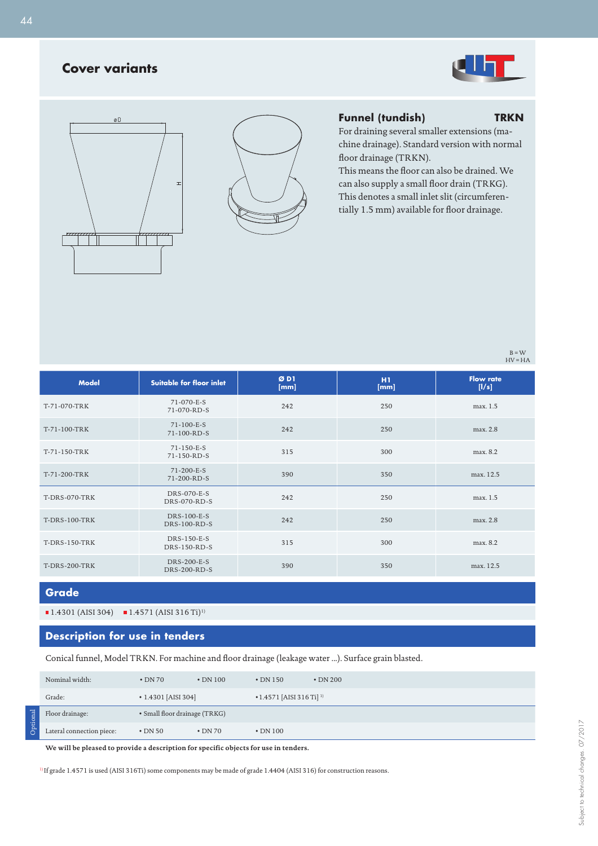## **Cover variants**







## **Funnel (tundish) TRKN**

For draining several smaller extensions (machine drainage). Standard version with normal floor drainage (TRKN).

This means the floor can also be drained. We can also supply a small floor drain (TRKG). This denotes a small inlet slit (circumferentially 1.5 mm) available for floor drainage.

> $B = W$  $HV = HA$

| <b>Model</b>         | <b>Suitable for floor inlet</b>    | ØDI<br>[mm] | H1<br>[mm] | <b>Flow rate</b><br>[1/s] |
|----------------------|------------------------------------|-------------|------------|---------------------------|
| T-71-070-TRK         | 71-070-E-S<br>71-070-RD-S          | 242         | 250        | max. 1.5                  |
| T-71-100-TRK         | 71-100-E-S<br>71-100-RD-S          | 242         | 250        | max. 2.8                  |
| T-71-150-TRK         | 71-150-E-S<br>71-150-RD-S          | 315         | 300        | max. 8.2                  |
| T-71-200-TRK         | 71-200-E-S<br>71-200-RD-S          | 390         | 350        | max. 12.5                 |
| <b>T-DRS-070-TRK</b> | DRS-070-E-S<br>DRS-070-RD-S        | 242         | 250        | max. 1.5                  |
| <b>T-DRS-100-TRK</b> | DRS-100-E-S<br><b>DRS-100-RD-S</b> | 242         | 250        | max. 2.8                  |
| <b>T-DRS-150-TRK</b> | DRS-150-E-S<br>DRS-150-RD-S        | 315         | 300        | max. 8.2                  |
| T-DRS-200-TRK        | <b>DRS-200-E-S</b><br>DRS-200-RD-S | 390         | 350        | max. 12.5                 |

**Grade**

Optional

 $1.4301$  (AISI 304)  $1.4571$  (AISI 316 Ti)<sup>1)</sup>

## **Description for use in tenders**

Conical funnel, Model TRKN. For machine and floor drainage (leakage water ...). Surface grain blasted.

| Nominal width:            | $\cdot$ DN 70                 | $\cdot$ DN 100 | $\cdot$ DN 150                             | $\cdot$ DN 200 |
|---------------------------|-------------------------------|----------------|--------------------------------------------|----------------|
| Grade:                    | $\cdot$ 1.4301 [AISI 304]     |                | $\cdot$ 1.4571 [AISI 316 Ti] <sup>1)</sup> |                |
| Floor drainage:           | • Small floor drainage (TRKG) |                |                                            |                |
| Lateral connection piece: | $\cdot$ DN 50                 | $\cdot$ DN 70  | $\cdot$ DN 100                             |                |

**We will be pleased to provide a description for specific objects for use in tenders.**

1) If grade 1.4571 is used (AISI 316Ti) some components may be made of grade 1.4404 (AISI 316) for construction reasons.